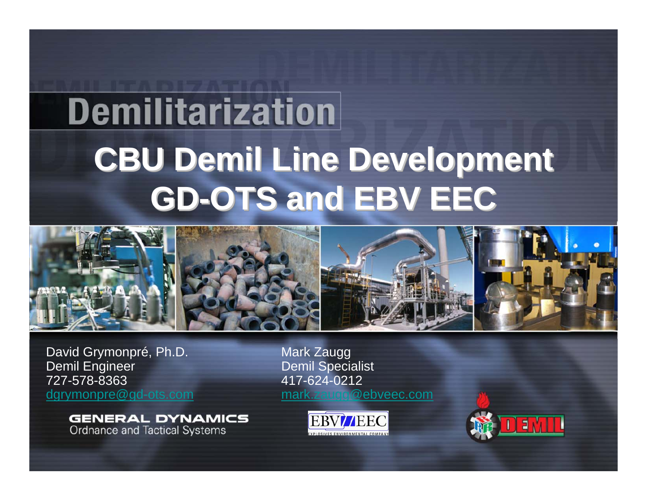# **Demilitarization CBU Demil Line Development CBU Demil Line Development CBU Demil Line Development GD-OTS and EBV EEC GD-OTS and EBV EEC OTS and EBV EEC**



David Grymonpré, Ph.D. Mark Zaugg<br>Demil Engineer Demil Special 727-578-8363

**GENERAL DYNAMICS Ordnance and Tactical Systems** 

Demil Specialist 417-624-0212 [dgrymonpre@gd-ots.com](mailto:dgrymonpre@gd-ots.com) [mark.zaugg@ebveec.com](mailto:mark.zaugg@ebveec.com)



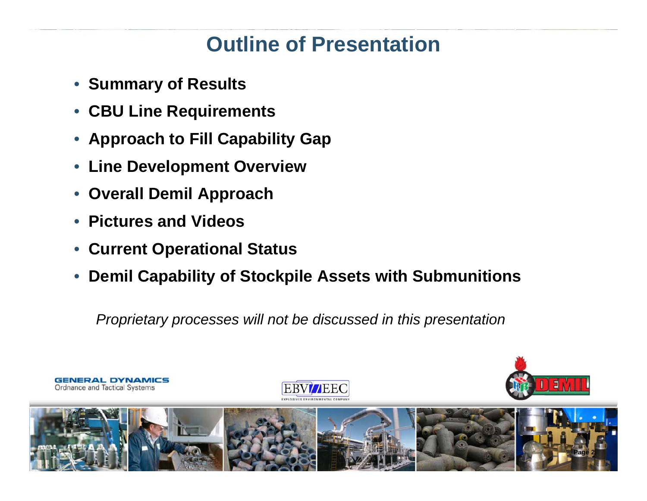## **Outline of Presentation**

- **Summary of Results**
- **CBU Line Requirements**
- •**Approach to Fill Capability Gap**
- $\bullet$ **Line Development Overview**
- •**Overall Demil Approach**
- **Pictures and Videos**
- •**Current Operational Status**
- •**Demil Capability of Stockpile Assets with Submunitions**

*Proprietary processes will not be discussed in this presentation*

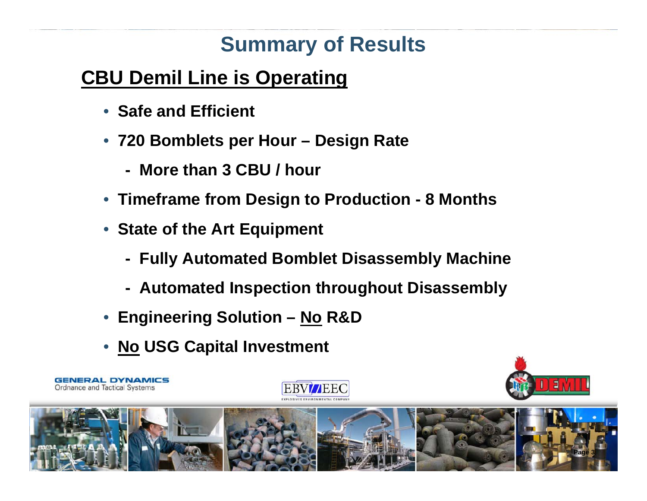## **Summary of Results**

#### **CBU Demil Line is Operating**

- **Safe and Efficient**
- **720 Bomblets per Hour – Design Rate**
	- **- More than 3 CBU / hour**
- **Timeframe from Design to Production - 8 Months**
- **State of the Art Equipment**
	- **- Fully Automated Bomblet Disassembly Machine**
	- **- Automated Inspection throughout Disassembly**
- **Engineering Solution – No R&D**
- **No USG Capital Investment**

**GENERAL DYNAMICS** 

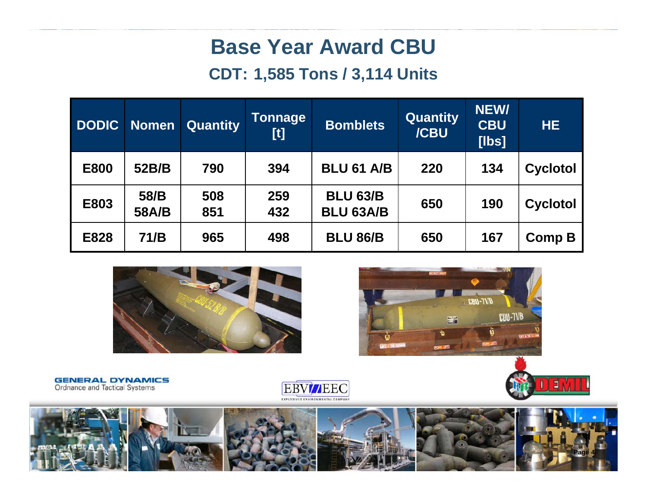#### **Base Year Award CBU**

#### **CDT: 1,585 Tons / 3,114 Units**

| <b>DODIC</b> | <b>Nomen</b>  | <b>Quantity</b> | <b>Tonnage</b><br>$[t] % \begin{center} % \includegraphics[width=\linewidth]{imagesSupplemental_3.png} % \end{center} % \caption { % \textit{DefNet} of the \textit{DefNet} dataset. % Note that the \textit{DefNet} and \textit{DefNet} dataset. % Note that the \textit{DefNet} and \textit{DefNet} dataset. % Note that the \textit{DefNet} and \textit{DefNet} dataset. % Note that the \textit{DefNet} and \textit{DefNet} dataset. % Note that the \textit{DefNet} and \textit{DefNet} dataset. % Note that the \textit{DefNet} and \textit{DefNet} dataset. % Note that the \textit{DefNet} and \textit{DefNet} dataset. % Note that the \textit{DefNet} and \textit{DefNet}$ | <b>Bomblets</b>                     | <b>Quantity</b><br>/CBU | NEW/<br><b>CBU</b><br>[ <b>l</b> | HE.             |
|--------------|---------------|-----------------|--------------------------------------------------------------------------------------------------------------------------------------------------------------------------------------------------------------------------------------------------------------------------------------------------------------------------------------------------------------------------------------------------------------------------------------------------------------------------------------------------------------------------------------------------------------------------------------------------------------------------------------------------------------------------------------|-------------------------------------|-------------------------|----------------------------------|-----------------|
| <b>E800</b>  | 52B/B         | 790             | 394                                                                                                                                                                                                                                                                                                                                                                                                                                                                                                                                                                                                                                                                                  | <b>BLU 61 A/B</b>                   | 220                     | 134                              | <b>Cyclotol</b> |
| E803         | 58/B<br>58A/B | 508<br>851      | 259<br>432                                                                                                                                                                                                                                                                                                                                                                                                                                                                                                                                                                                                                                                                           | <b>BLU 63/B</b><br><b>BLU 63A/B</b> | 650                     | 190                              | <b>Cyclotol</b> |
| E828         | 71/B          | 965             | 498                                                                                                                                                                                                                                                                                                                                                                                                                                                                                                                                                                                                                                                                                  | <b>BLU 86/B</b>                     | 650                     | 167                              | <b>Comp B</b>   |





Ε





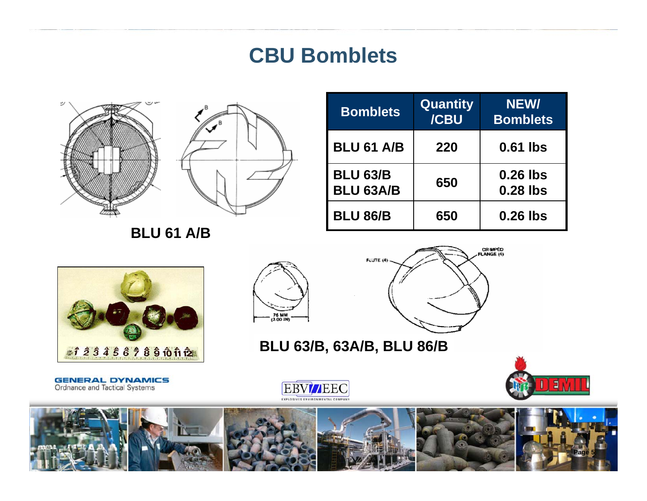#### **CBU Bomblets**





**BLU 61 A/B**

| <b>Bomblets</b>                     | <b>Quantity</b><br>/CBU | <b>NEW/</b><br><b>Bomblets</b> |
|-------------------------------------|-------------------------|--------------------------------|
| <b>BLU 61 A/B</b>                   | 220                     | 0.61 lbs                       |
| <b>BLU 63/B</b><br><b>BLU 63A/B</b> | 650                     | $0.26$ lbs<br>0.28 lbs         |
| <b>BLU 86/B</b>                     | 650                     | 0.26 lbs                       |







**BLU 63/B, 63A/B, BLU 86/B**

**GENERAL DYNAMICS**<br>Ordnance and Tactical Systems





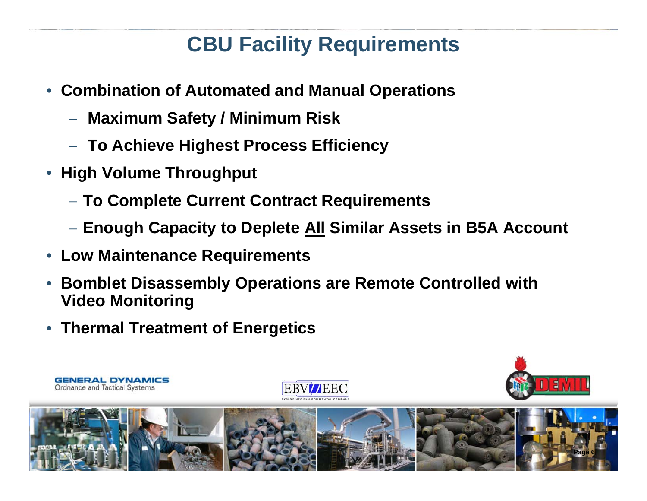## **CBU Facility Requirements**

- • **Combination of Automated and Manual Operations** 
	- −**Maximum Safety / Minimum Risk**
	- −**To Achieve Highest Process Efficiency**
- • **High Volume Throughput**
	- **To Complete Current Contract Requirements**
	- **Enough Capacity to Deplete All Similar Assets in B5A Account**
- **Low Maintenance Requirements**
- • **Bomblet Disassembly Operations are Remote Controlled with Video Monitoring**
- **Thermal Treatment of Energetics**

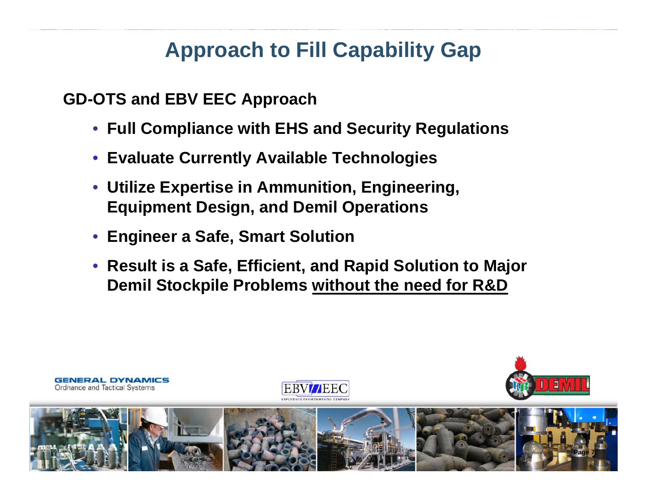## **Approach to Fill Capability Gap**

**GD-OTS and EBV EEC Approach**

- **Full Compliance with EHS and Security Regulations**
- **Evaluate Currently Available Technologies**
- **Utilize Expertise in Ammunition, Engineering, Equipment Design, and Demil Operations**
- **Engineer a Safe, Smart Solution**
- **Result is a Safe, Efficient, and Rapid Solution to Major Demil Stockpile Problems without the need for R&D**







**Page 7**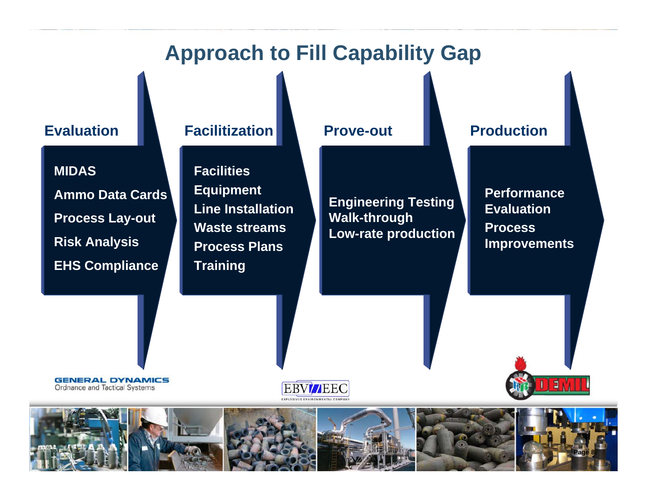#### **Approach to Fill Capability Gap**

**MIDASAmmo Data Cards Process Lay-out Risk Analysis EHS Compliance**

#### **Evaluation Facilitization Prove-out**

**FacilitiesEquipment Line InstallationWaste streamsProcess PlansTraining**

**Engineering Testing Walk-through Low-rate production**

#### **Production**

**Performance Evaluation Process Improvements**

**GENERAL DYNAMICS** Ordnance and Tactical Systems



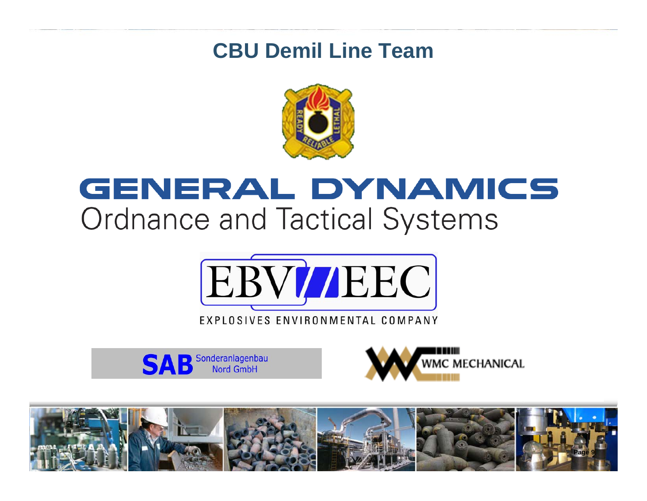#### **CBU Demil Line Team**



## GENERAL DYNAMICS **Ordnance and Tactical Systems**



Sonderanlagenbau Nord GmbH



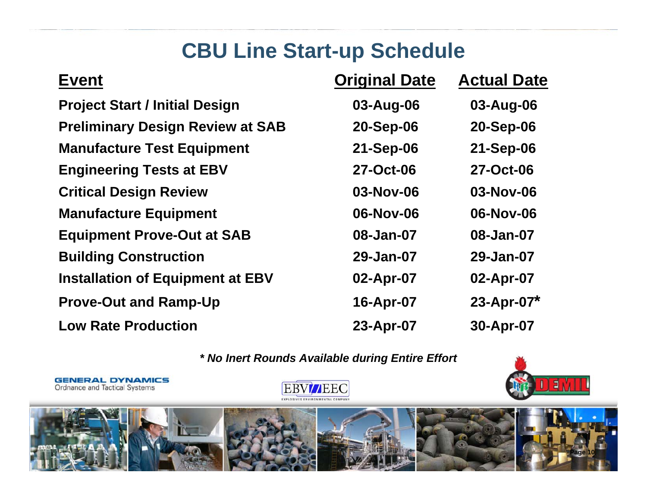## **CBU Line Start-up Schedule**

| <b>Event</b>                            | <b>Original Date</b> | <b>Actual Date</b> |
|-----------------------------------------|----------------------|--------------------|
| <b>Project Start / Initial Design</b>   | 03-Aug-06            | 03-Aug-06          |
| <b>Preliminary Design Review at SAB</b> | 20-Sep-06            | 20-Sep-06          |
| <b>Manufacture Test Equipment</b>       | 21-Sep-06            | 21-Sep-06          |
| <b>Engineering Tests at EBV</b>         | 27-Oct-06            | 27-Oct-06          |
| <b>Critical Design Review</b>           | 03-Nov-06            | 03-Nov-06          |
| <b>Manufacture Equipment</b>            | 06-Nov-06            | 06-Nov-06          |
| <b>Equipment Prove-Out at SAB</b>       | 08-Jan-07            | 08-Jan-07          |
| <b>Building Construction</b>            | 29-Jan-07            | 29-Jan-07          |
| <b>Installation of Equipment at EBV</b> | 02-Apr-07            | 02-Apr-07          |
| <b>Prove-Out and Ramp-Up</b>            | 16-Apr-07            | $23 - Apr - 07*$   |
| <b>Low Rate Production</b>              | 23-Apr-07            | 30-Apr-07          |

*\* No Inert Rounds Available during Entire Effort*



**Page 10**

**EBV/JEEC** EXPLOSIVES ENVIRONMENTAL COMPANY

**GENERAL DYNAMICS**<br>Ordnance and Tactical Systems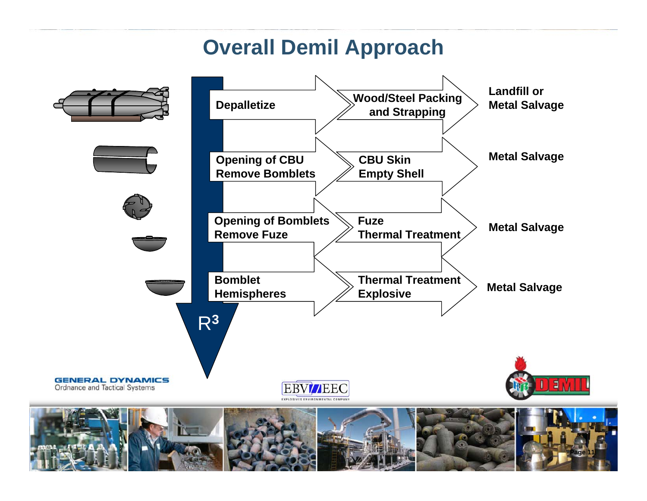## **Overall Demil Approach**

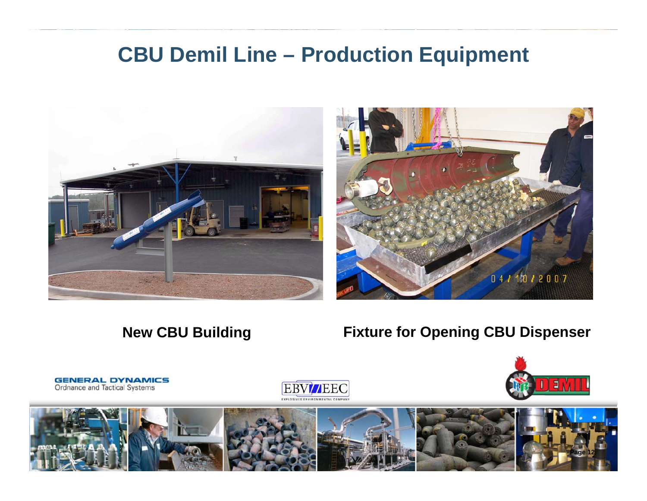#### **CBU Demil Line – Production Equipment**





#### **New CBU Building**

#### **Fixture for Opening CBU Dispenser**



**GENERAL DYNAMICS Ordnance and Tactical Systems** 



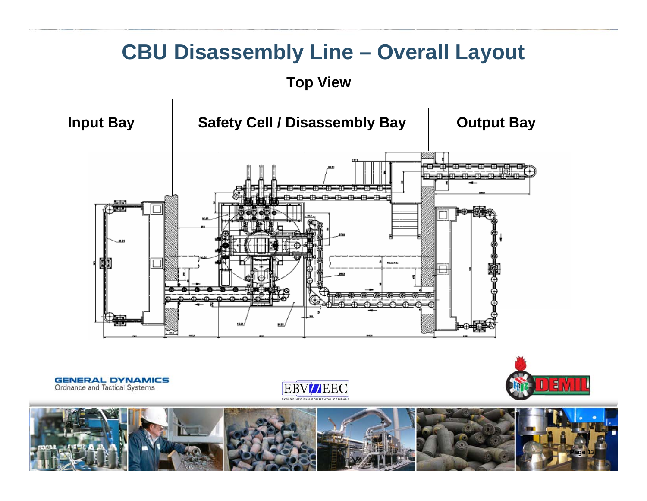#### **CBU Disassembly Line – Overall Layout**

#### **Top View**



**GENERAL DYNAMICS** Ordnance and Tactical Systems





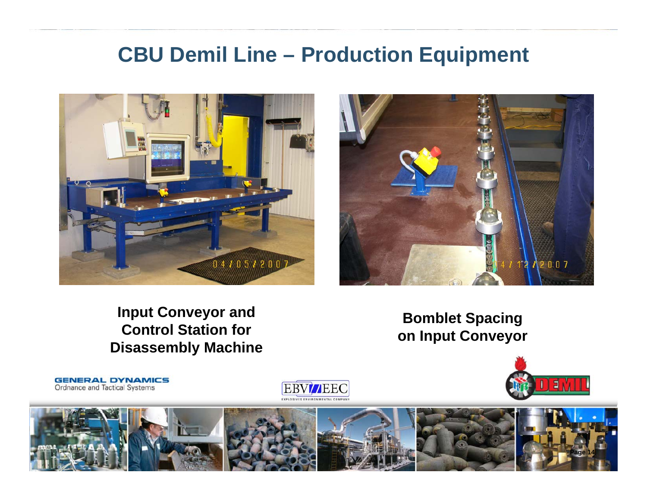#### **CBU Demil Line – Production Equipment**





#### **Input Conveyor and Control Station for Disassembly Machine**

**GENERAL DYNAMICS** 

Ordnance and Tactical Systems

**Bomblet Spacing on Input Conveyor**



**Page 14**

**EBV//EEC**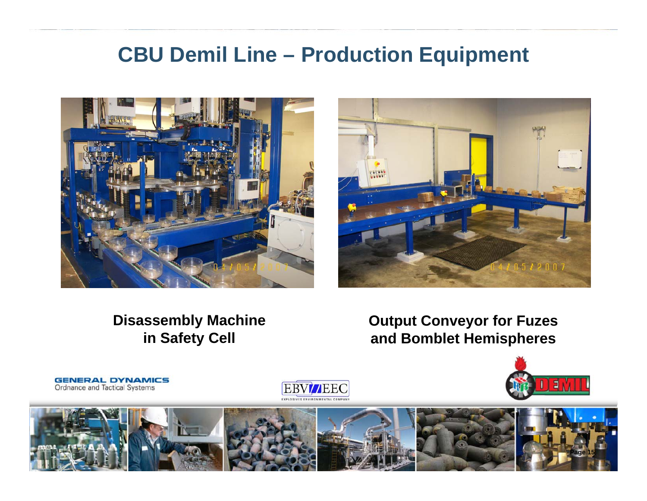#### **CBU Demil Line – Production Equipment**





#### **Disassembly Machine in Safety Cell**

**GENERAL DYNAMICS** 

Ordnance and Tactical Systems

**Output Conveyor for Fuzes and Bomblet Hemispheres**





**EBV//EEC**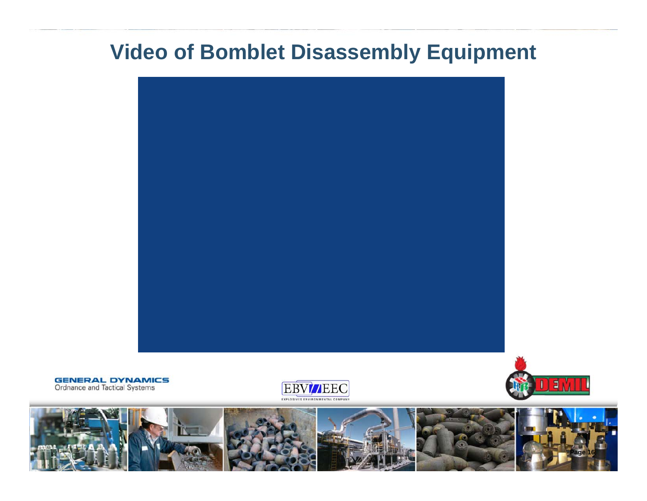#### **Video of Bomblet Disassembly Equipment**



**GENERAL DYNAMICS**<br>Ordnance and Tactical Systems





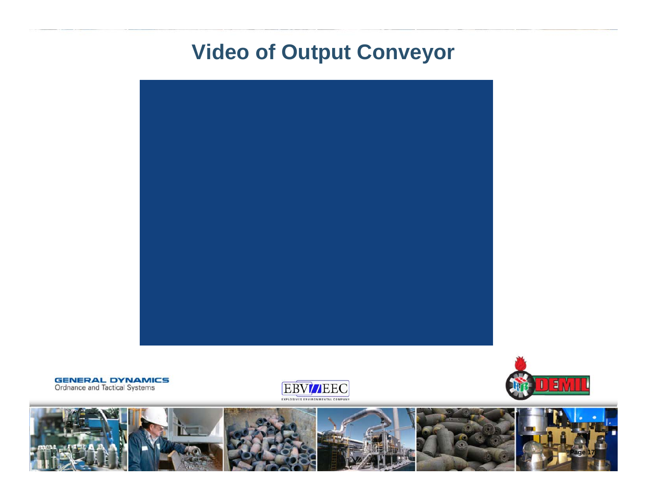#### **Video of Output Conveyor**



**GENERAL DYNAMICS**<br>Ordnance and Tactical Systems





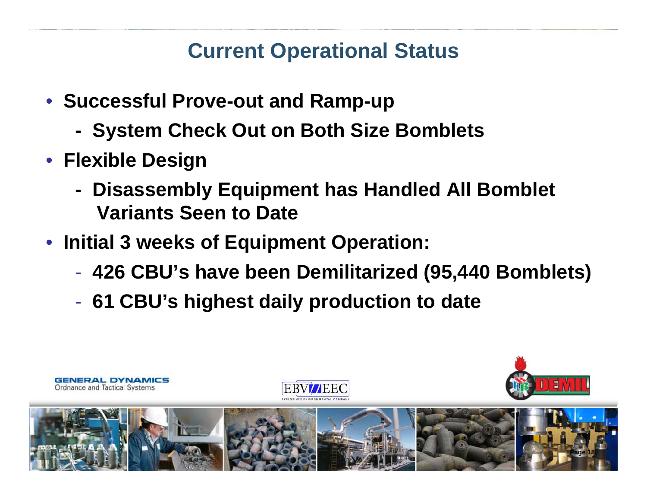## **Current Operational Status**

- **Successful Prove-out and Ramp-up**
	- **- System Check Out on Both Size Bomblets**
- **Flexible Design**
	- **- Disassembly Equipment has Handled All Bomblet Variants Seen to Date**
- **Initial 3 weeks of Equipment Operation:**
	- -**426 CBU's have been Demilitarized (95,440 Bomblets)**
	- -**61 CBU's highest daily production to date**

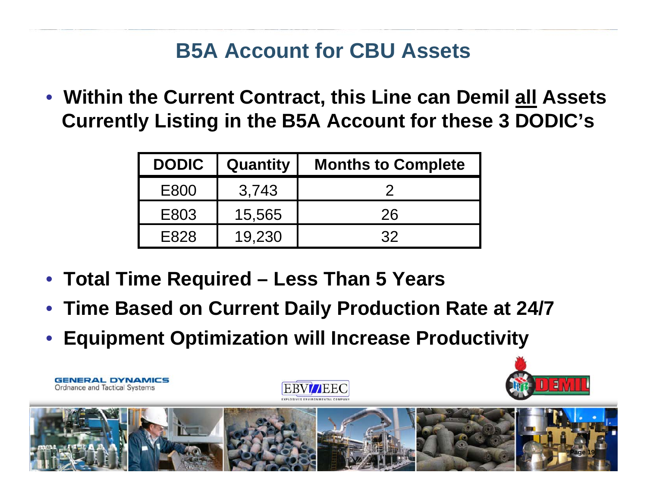## **B5A Account for CBU Assets**

• **Within the Current Contract, this Line can Demil all Assets Currently Listing in the B5A Account for these 3 DODIC's**

| <b>DODIC</b> | Quantity | <b>Months to Complete</b> |  |
|--------------|----------|---------------------------|--|
| E800         | 3,743    |                           |  |
| E803         | 15,565   | 26                        |  |
| F828         | 19,230   | 32                        |  |

• **Total Time Required – Less Than 5 Years**

**GENERAL DYNAMICS** 

Ordnance and Tactical Systems

- •**Time Based on Current Daily Production Rate at 24/7**
- •**Equipment Optimization will Increase Productivity**



**TTTEE**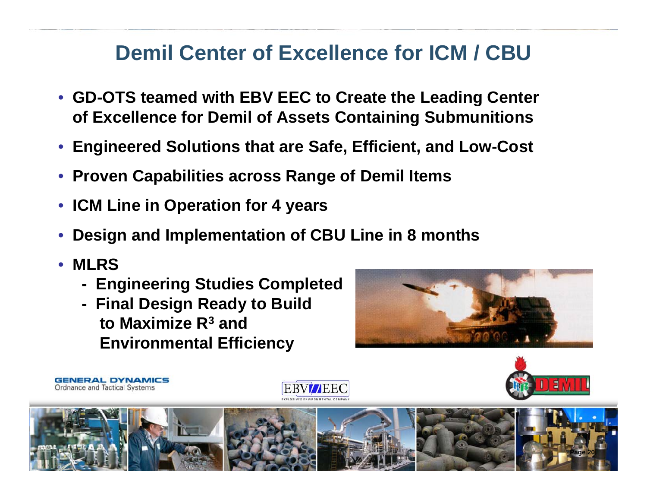## **Demil Center of Excellence for ICM / CBU**

- **GD-OTS teamed with EBV EEC to Create the Leading Center of Excellence for Demil of Assets Containing Submunitions**
- •**Engineered Solutions that are Safe, Efficient, and Low-Cost**
- $\bullet$ **Proven Capabilities across Range of Demil Items**
- $\bullet$ **ICM Line in Operation for 4 years**
- •**Design and Implementation of CBU Line in 8 months**
- $\bullet$ **MLRS**

**GENERAL DYNAMICS** Ordnance and Tactical Systems

- **- Engineering Studies Completed**
- **- Final Design Ready to Build to Maximize R3 and Environmental Efficiency**